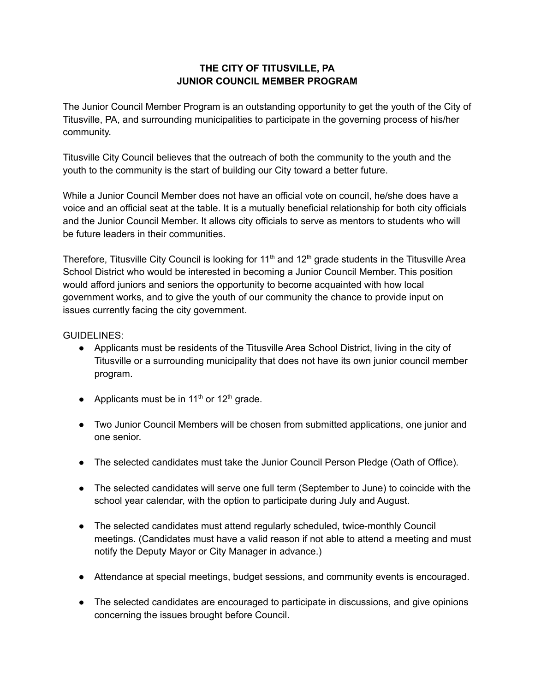## **THE CITY OF TITUSVILLE, PA JUNIOR COUNCIL MEMBER PROGRAM**

The Junior Council Member Program is an outstanding opportunity to get the youth of the City of Titusville, PA, and surrounding municipalities to participate in the governing process of his/her community.

Titusville City Council believes that the outreach of both the community to the youth and the youth to the community is the start of building our City toward a better future.

While a Junior Council Member does not have an official vote on council, he/she does have a voice and an official seat at the table. It is a mutually beneficial relationship for both city officials and the Junior Council Member. It allows city officials to serve as mentors to students who will be future leaders in their communities.

Therefore, Titusville City Council is looking for 11<sup>th</sup> and 12<sup>th</sup> grade students in the Titusville Area School District who would be interested in becoming a Junior Council Member. This position would afford juniors and seniors the opportunity to become acquainted with how local government works, and to give the youth of our community the chance to provide input on issues currently facing the city government.

GUIDELINES:

- Applicants must be residents of the Titusville Area School District, living in the city of Titusville or a surrounding municipality that does not have its own junior council member program.
- Applicants must be in  $11<sup>th</sup>$  or  $12<sup>th</sup>$  grade.
- Two Junior Council Members will be chosen from submitted applications, one junior and one senior.
- The selected candidates must take the Junior Council Person Pledge (Oath of Office).
- The selected candidates will serve one full term (September to June) to coincide with the school year calendar, with the option to participate during July and August.
- The selected candidates must attend regularly scheduled, twice-monthly Council meetings. (Candidates must have a valid reason if not able to attend a meeting and must notify the Deputy Mayor or City Manager in advance.)
- Attendance at special meetings, budget sessions, and community events is encouraged.
- The selected candidates are encouraged to participate in discussions, and give opinions concerning the issues brought before Council.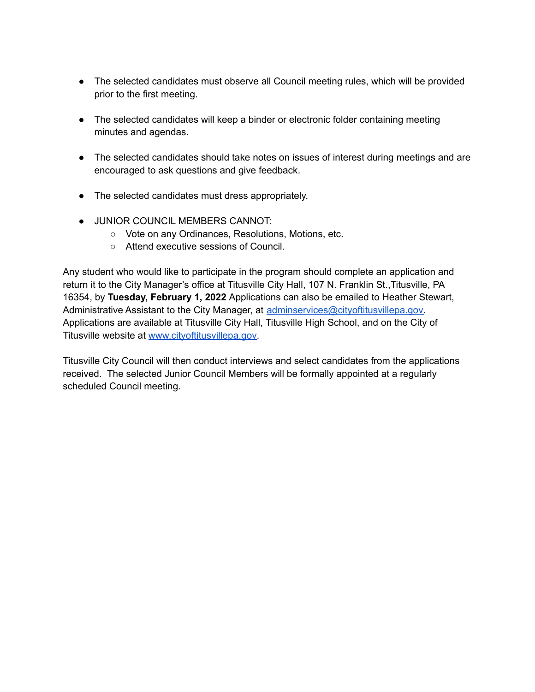- The selected candidates must observe all Council meeting rules, which will be provided prior to the first meeting.
- The selected candidates will keep a binder or electronic folder containing meeting minutes and agendas.
- The selected candidates should take notes on issues of interest during meetings and are encouraged to ask questions and give feedback.
- The selected candidates must dress appropriately.
- JUNIOR COUNCIL MEMBERS CANNOT:
	- Vote on any Ordinances, Resolutions, Motions, etc.
	- Attend executive sessions of Council.

Any student who would like to participate in the program should complete an application and return it to the City Manager's office at Titusville City Hall, 107 N. Franklin St.,Titusville, PA 16354, by **Tuesday, February 1, 2022** Applications can also be emailed to Heather Stewart, Administrative Assistant to the City Manager, at [adminservices@cityoftitusvillepa.gov.](mailto:adminservices@cityoftitusvillepa.gov) Applications are available at Titusville City Hall, Titusville High School, and on the City of Titusville website at [www.cityoftitusvillepa.gov.](http://www.cityoftitusvillepa.gov)

Titusville City Council will then conduct interviews and select candidates from the applications received. The selected Junior Council Members will be formally appointed at a regularly scheduled Council meeting.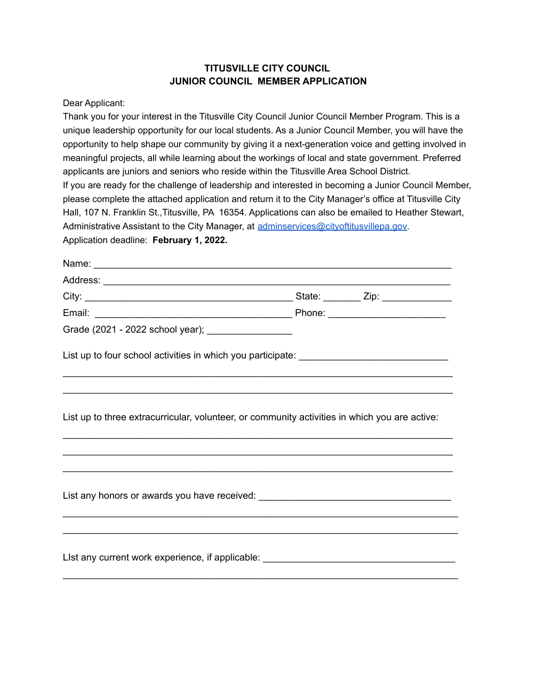## **TITUSVILLE CITY COUNCIL JUNIOR COUNCIL MEMBER APPLICATION**

Dear Applicant:

Thank you for your interest in the Titusville City Council Junior Council Member Program. This is a unique leadership opportunity for our local students. As a Junior Council Member, you will have the opportunity to help shape our community by giving it a next-generation voice and getting involved in meaningful projects, all while learning about the workings of local and state government. Preferred applicants are juniors and seniors who reside within the Titusville Area School District. If you are ready for the challenge of leadership and interested in becoming a Junior Council Member, please complete the attached application and return it to the City Manager's office at Titusville City Hall, 107 N. Franklin St.,Titusville, PA 16354. Applications can also be emailed to Heather Stewart, Administrative Assistant to the City Manager, at [adminservices@cityoftitusvillepa.gov](mailto:adminservices@cityoftitusvillepa.gov). Application deadline: **February 1, 2022.**

| Grade (2021 - 2022 school year); ___________________                                          |  |
|-----------------------------------------------------------------------------------------------|--|
|                                                                                               |  |
| List up to three extracurricular, volunteer, or community activities in which you are active: |  |
| List any honors or awards you have received: ___________________________________              |  |
|                                                                                               |  |
| List any current work experience, if applicable: ________________________________             |  |